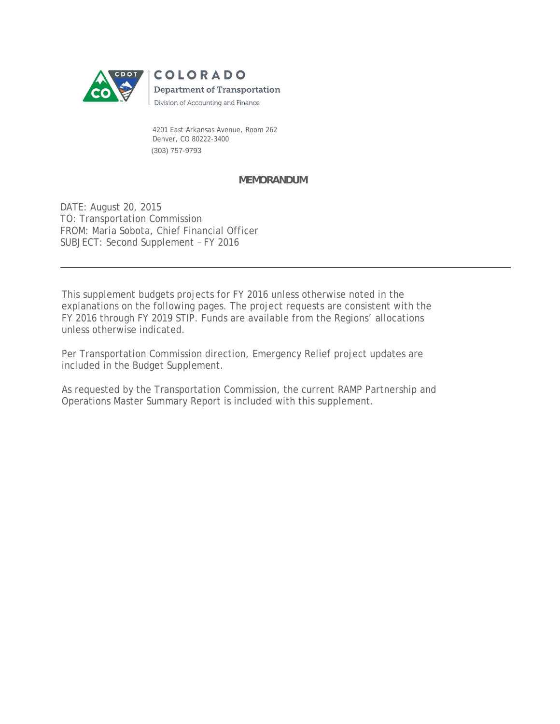

 4201 East Arkansas Avenue, Room 262 Denver, CO 80222-3400 (303) 757-9793

#### **MEMORANDUM**

DATE: August 20, 2015 TO: Transportation Commission FROM: Maria Sobota, Chief Financial Officer SUBJECT: Second Supplement – FY 2016

This supplement budgets projects for FY 2016 unless otherwise noted in the explanations on the following pages. The project requests are consistent with the FY 2016 through FY 2019 STIP. Funds are available from the Regions' allocations unless otherwise indicated.

Per Transportation Commission direction, Emergency Relief project updates are included in the Budget Supplement.

As requested by the Transportation Commission, the current RAMP Partnership and Operations Master Summary Report is included with this supplement.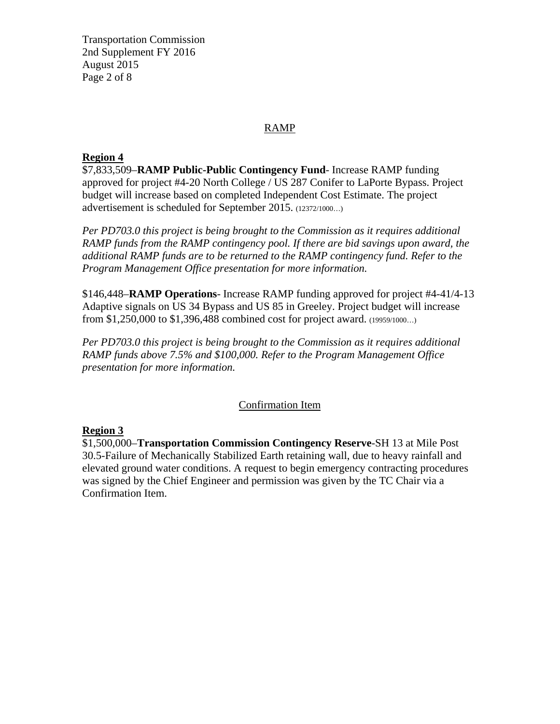Transportation Commission 2nd Supplement FY 2016 August 2015 Page 2 of 8

#### RAMP

#### **Region 4**

\$7,833,509–**RAMP Public-Public Contingency Fund**- Increase RAMP funding approved for project #4-20 North College / US 287 Conifer to LaPorte Bypass. Project budget will increase based on completed Independent Cost Estimate. The project advertisement is scheduled for September 2015. (12372/1000…)

*Per PD703.0 this project is being brought to the Commission as it requires additional RAMP funds from the RAMP contingency pool. If there are bid savings upon award, the additional RAMP funds are to be returned to the RAMP contingency fund. Refer to the Program Management Office presentation for more information.* 

\$146,448–**RAMP Operations**- Increase RAMP funding approved for project #4-41/4-13 Adaptive signals on US 34 Bypass and US 85 in Greeley. Project budget will increase from \$1,250,000 to \$1,396,488 combined cost for project award. (19959/1000…)

*Per PD703.0 this project is being brought to the Commission as it requires additional RAMP funds above 7.5% and \$100,000. Refer to the Program Management Office presentation for more information.* 

#### Confirmation Item

#### **Region 3**

\$1,500,000–**Transportation Commission Contingency Reserve**-SH 13 at Mile Post 30.5-Failure of Mechanically Stabilized Earth retaining wall, due to heavy rainfall and elevated ground water conditions. A request to begin emergency contracting procedures was signed by the Chief Engineer and permission was given by the TC Chair via a Confirmation Item.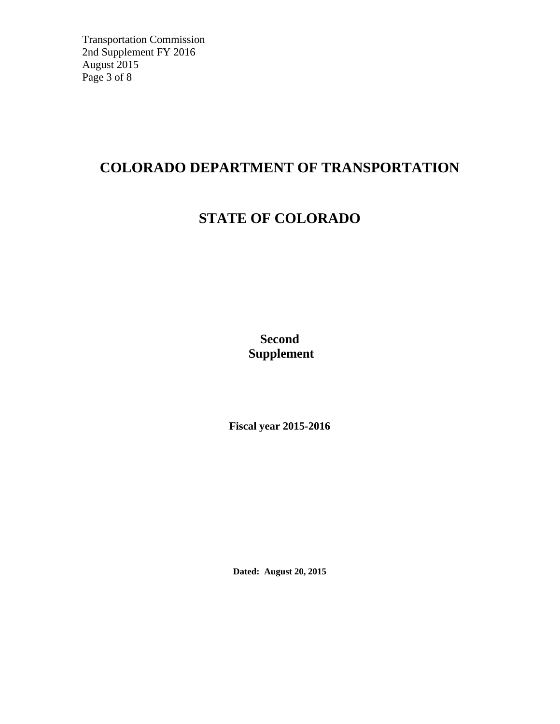Transportation Commission 2nd Supplement FY 2016 August 2015 Page 3 of 8

### **COLORADO DEPARTMENT OF TRANSPORTATION**

## **STATE OF COLORADO**

**Second Supplement** 

**Fiscal year 2015-2016**

**Dated: August 20, 2015**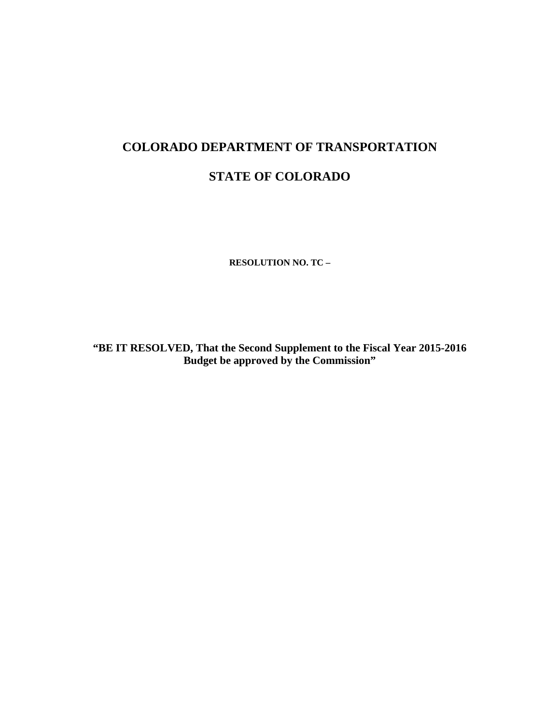### **COLORADO DEPARTMENT OF TRANSPORTATION**

### **STATE OF COLORADO**

**RESOLUTION NO. TC –** 

**"BE IT RESOLVED, That the Second Supplement to the Fiscal Year 2015-2016 Budget be approved by the Commission"**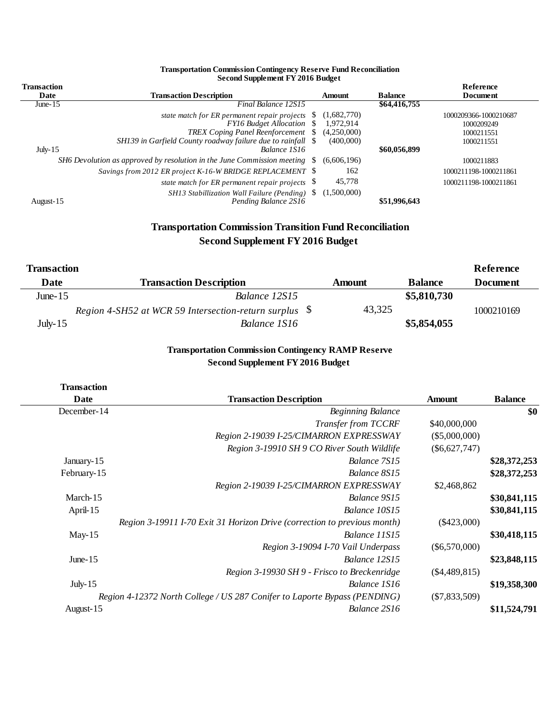| <b>Transaction</b> |                                                                                  |        |                          |                | Reference                           |
|--------------------|----------------------------------------------------------------------------------|--------|--------------------------|----------------|-------------------------------------|
| Date               | <b>Transaction Description</b>                                                   | Amount |                          | <b>Balance</b> | <b>Document</b>                     |
| June- $15$         | Final Balance 12S15                                                              |        |                          | \$64,416,755   |                                     |
|                    | state match for ER permanent repair projects<br><b>FY16 Budget Allocation</b> \$ | - 5    | (1,682,770)<br>1.972.914 |                | 1000209366-1000210687<br>1000209249 |
|                    | TREX Coping Panel Reenforcement \$                                               |        | (4,250,000)              |                | 1000211551                          |
|                    | SH139 in Garfield County roadway failure due to rainfall \\$                     |        | (400,000)                |                | 1000211551                          |
| July- $15$         | Balance 1S16                                                                     |        |                          | \$60,056,899   |                                     |
|                    | SH6 Devolution as approved by resolution in the June Commission meeting          |        | (6,606,196)              |                | 1000211883                          |
|                    | Savings from 2012 ER project K-16-W BRIDGE REPLACEMENT \$                        |        | 162                      |                | 1000211198-1000211861               |
|                    | state match for ER permanent repair projects $\$                                 |        | 45,778                   |                | 1000211198-1000211861               |
| August-15          | SH13 Stabillization Wall Failure (Pending)<br>Pending Balance 2S16               |        | (1,500,000)              | \$51,996,643   |                                     |

#### **Transportation Commission Contingency Reserve Fund Reconciliation Second Supplement FY 2016 Budget**

#### **Transportation Commission Transition Fund Reconciliation Second Supplement FY 2016 Budget**

| <b>Transaction</b> |                                                        |               |                | Reference       |
|--------------------|--------------------------------------------------------|---------------|----------------|-----------------|
| Date               | <b>Transaction Description</b>                         | <b>Amount</b> | <b>Balance</b> | <b>Document</b> |
| June- $15$         | Balance 12S15                                          |               | \$5,810,730    |                 |
|                    | Region 4-SH52 at WCR 59 Intersection-return surplus \$ | 43,325        |                | 1000210169      |
| July- $15$         | Balance 1S16                                           |               | \$5,854,055    |                 |

#### **Transportation Commission Contingency RAMP Reserve Second Supplement FY 2016 Budget**

| <b>Transaction Description</b>                                            | Amount          | <b>Balance</b> |
|---------------------------------------------------------------------------|-----------------|----------------|
| <b>Beginning Balance</b>                                                  |                 | \$0            |
| Transfer from TCCRF                                                       | \$40,000,000    |                |
| Region 2-19039 I-25/CIMARRON EXPRESSWAY                                   | (\$5,000,000)   |                |
| Region 3-19910 SH 9 CO River South Wildlife                               | $(\$6,627,747)$ |                |
| Balance 7S15                                                              |                 | \$28,372,253   |
| Balance 8S15                                                              |                 | \$28,372,253   |
| Region 2-19039 I-25/CIMARRON EXPRESSWAY                                   | \$2,468,862     |                |
| Balance 9S15                                                              |                 | \$30,841,115   |
| Balance 10S15                                                             |                 | \$30,841,115   |
| Region 3-19911 I-70 Exit 31 Horizon Drive (correction to previous month)  | $(\$423,000)$   |                |
| Balance 11S15                                                             |                 | \$30,418,115   |
| Region 3-19094 I-70 Vail Underpass                                        | $(\$6,570,000)$ |                |
| Balance 12S15                                                             |                 | \$23,848,115   |
| Region 3-19930 SH 9 - Frisco to Breckenridge                              | $(\$4,489,815)$ |                |
| Balance 1S16                                                              |                 | \$19,358,300   |
| Region 4-12372 North College / US 287 Conifer to Laporte Bypass (PENDING) | $(\$7,833,509)$ |                |
| Balance 2S16                                                              |                 | \$11,524,791   |
|                                                                           |                 |                |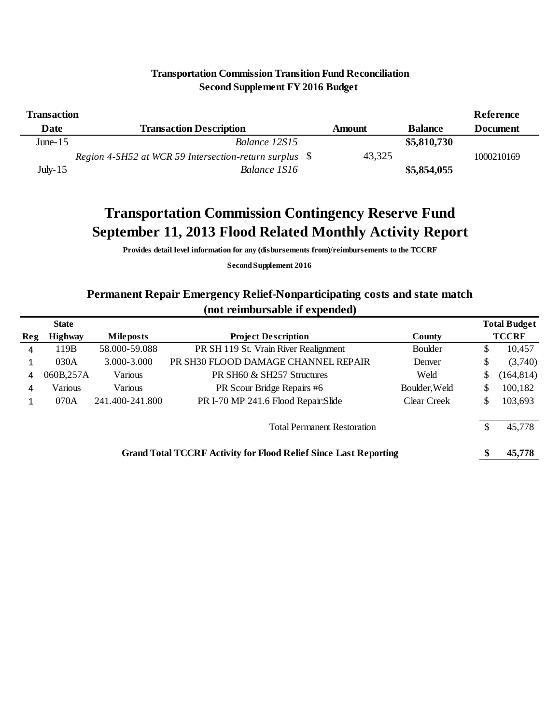| <b>Transaction</b> |                                                        |        |                | Reference       |
|--------------------|--------------------------------------------------------|--------|----------------|-----------------|
| Date               | <b>Transaction Description</b>                         | Amount | <b>Balance</b> | <b>Document</b> |
| June- $15$         | Balance 12S15                                          |        | \$5,810,730    |                 |
|                    | Region 4-SH52 at WCR 59 Intersection-return surplus \$ | 43,325 |                | 1000210169      |
| July- $15$         | Balance 1S16                                           |        | \$5,854,055    |                 |

#### **Transportation Commission Transition Fund Reconciliation Second Supplement FY 2016 Budget**

## **Transportation Commission Contingency Reserve Fund September 11, 2013 Flood Related Monthly Activity Report**

**Provides detail level information for any (disbursements from)/reimbursements to the TCCRF**

**Second Supplement 2016**

#### **Permanent Repair Emergency Relief-Nonparticipating costs and state match (not reimbursable if expended)**

|                                                                         | <b>State</b>   |                                                                       |                                       |                |    | <b>Total Budget</b> |  |  |  |  |
|-------------------------------------------------------------------------|----------------|-----------------------------------------------------------------------|---------------------------------------|----------------|----|---------------------|--|--|--|--|
| Reg                                                                     | <b>Highway</b> | <b>Mile posts</b>                                                     | <b>Project Description</b>            | County         |    | <b>TCCRF</b>        |  |  |  |  |
| 4                                                                       | 119B           | 58.000-59.088                                                         | PR SH 119 St. Vrain River Realignment | <b>Boulder</b> | S. | 10,457              |  |  |  |  |
|                                                                         | 030A           | 3.000-3.000                                                           | PR SH30 FLOOD DAMAGE CHANNEL REPAIR   | Denver         | \$ | (3,740)             |  |  |  |  |
| 4                                                                       | 060B,257A      | Various                                                               | PR SH60 & SH257 Structures            | Weld           | S  | (164, 814)          |  |  |  |  |
| 4                                                                       | Various        | Various                                                               | PR Scour Bridge Repairs #6            | Boulder, Weld  | \$ | 100,182             |  |  |  |  |
|                                                                         | 070A           | PR I-70 MP 241.6 Flood Repair:Slide<br>241.400-241.800<br>Clear Creek |                                       |                |    |                     |  |  |  |  |
| <b>Total Permanent Restoration</b>                                      |                |                                                                       |                                       |                |    |                     |  |  |  |  |
| <b>Grand Total TCCRF Activity for Flood Relief Since Last Reporting</b> |                |                                                                       |                                       |                |    |                     |  |  |  |  |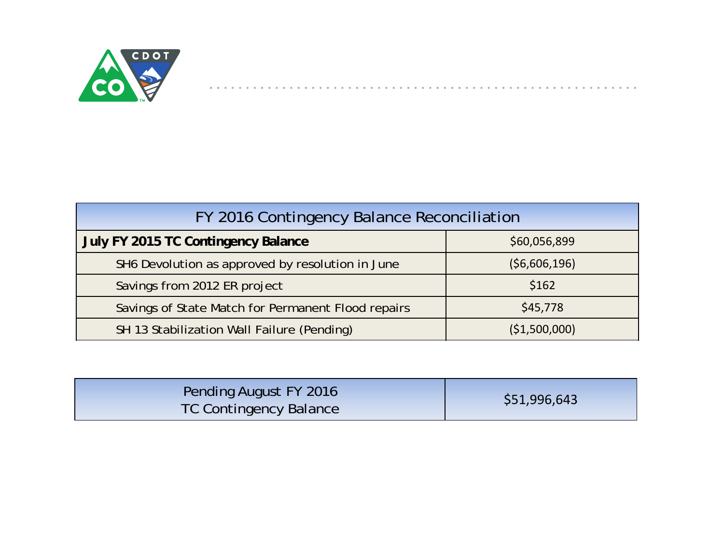

 $\sim$  10  $\pm$ 

| FY 2016 Contingency Balance Reconciliation         |               |  |  |  |  |  |  |  |  |  |
|----------------------------------------------------|---------------|--|--|--|--|--|--|--|--|--|
| July FY 2015 TC Contingency Balance                | \$60,056,899  |  |  |  |  |  |  |  |  |  |
| SH6 Devolution as approved by resolution in June   | (56,606,196)  |  |  |  |  |  |  |  |  |  |
| Savings from 2012 ER project                       | \$162         |  |  |  |  |  |  |  |  |  |
| Savings of State Match for Permanent Flood repairs | \$45,778      |  |  |  |  |  |  |  |  |  |
| SH 13 Stabilization Wall Failure (Pending)         | (\$1,500,000) |  |  |  |  |  |  |  |  |  |

| <b>Pending August FY 2016</b><br><b>TC Contingency Balance</b> | \$51,996,643 |
|----------------------------------------------------------------|--------------|
|----------------------------------------------------------------|--------------|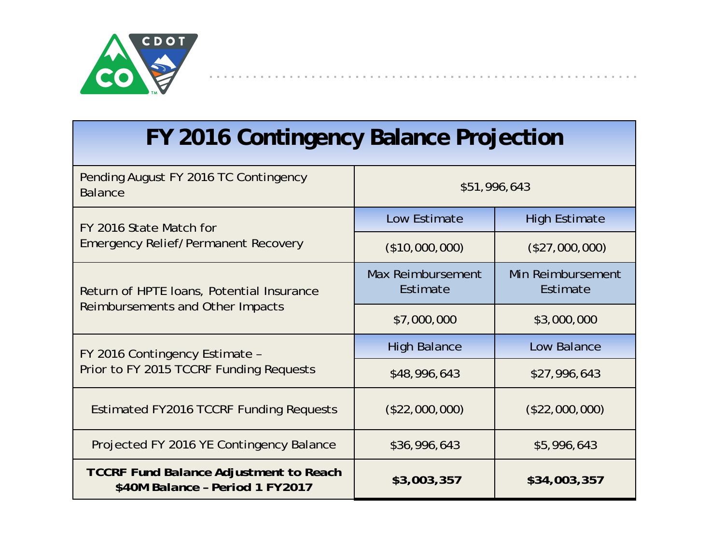

# **FY 2016 Contingency Balance Projection**

| Pending August FY 2016 TC Contingency<br><b>Balance</b>                          |                                                                                                                                                                        |                               |  |
|----------------------------------------------------------------------------------|------------------------------------------------------------------------------------------------------------------------------------------------------------------------|-------------------------------|--|
| FY 2016 State Match for                                                          | Low Estimate                                                                                                                                                           | <b>High Estimate</b>          |  |
| <b>Emergency Relief/Permanent Recovery</b>                                       | \$51,996,643<br>(\$10,000,000)<br>Max Reimbursement<br>Estimate<br>\$7,000,000<br><b>High Balance</b><br>\$48,996,643<br>(\$22,000,000)<br>\$36,996,643<br>\$3,003,357 | (\$27,000,000)                |  |
| Return of HPTE Ioans, Potential Insurance                                        |                                                                                                                                                                        | Min Reimbursement<br>Estimate |  |
| Reimbursements and Other Impacts                                                 |                                                                                                                                                                        | \$3,000,000                   |  |
| FY 2016 Contingency Estimate -                                                   |                                                                                                                                                                        | Low Balance                   |  |
| Prior to FY 2015 TCCRF Funding Requests                                          |                                                                                                                                                                        | \$27,996,643                  |  |
| Estimated FY2016 TCCRF Funding Requests                                          |                                                                                                                                                                        | $(\$22,000,000)$              |  |
| Projected FY 2016 YE Contingency Balance                                         |                                                                                                                                                                        | \$5,996,643                   |  |
| <b>TCCRF Fund Balance Adjustment to Reach</b><br>\$40M Balance - Period 1 FY2017 |                                                                                                                                                                        | \$34,003,357                  |  |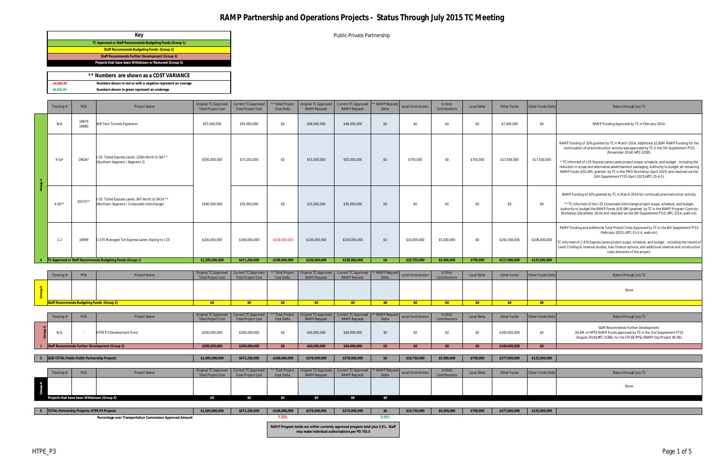Public-Private Partnership

|                | of Numbers are shown as a COST VARIANCE.                     |  |
|----------------|--------------------------------------------------------------|--|
| $-$ \$4.800.00 | Numbers shown in red or with a negative represent an overage |  |
| \$6,000,00     | Numbers shown in green represent an underage                 |  |

|                | Tracking #                                   | <b>PCN</b>                                     | <b>Project Name</b>                                                                             | Original TC Approved<br><b>Total Project Cost</b> | Current TC Approved<br><b>Total Project Cost</b>        | ** Total Project<br>Cost Delta | Original TC Approved<br><b>RAMP Request</b> | <b>Current TC Approved</b><br><b>RAMP</b> Request | <b>RAMP</b> Reques<br>Delta | <b>Local Contribution</b> | In Kind<br>Contributions | Local Delta | Other Funds   | Other Funds Delta | Status through July TC                                                                                                                                                                                                                                                                                                                                                                                                                                                                                                                                            |  |
|----------------|----------------------------------------------|------------------------------------------------|-------------------------------------------------------------------------------------------------|---------------------------------------------------|---------------------------------------------------------|--------------------------------|---------------------------------------------|---------------------------------------------------|-----------------------------|---------------------------|--------------------------|-------------|---------------|-------------------|-------------------------------------------------------------------------------------------------------------------------------------------------------------------------------------------------------------------------------------------------------------------------------------------------------------------------------------------------------------------------------------------------------------------------------------------------------------------------------------------------------------------------------------------------------------------|--|
|                | N/A                                          | 19879<br>19880                                 | <b>WB Twin Tunnels Expansion</b>                                                                | \$55,000,000                                      | \$55,000,000                                            | \$0                            | \$48,000,000                                | \$48,000,000                                      | \$0                         | \$0                       | \$0                      | \$0         | \$7,000,000   | \$0               | RAMP Funding Approved by TC in February 2014.                                                                                                                                                                                                                                                                                                                                                                                                                                                                                                                     |  |
|                | $4 - 5a'$                                    | 19626*                                         | I-25: Tolled Express Lanes: 120th North to SH7 *<br>(Southern Segment / Segment 3)              | \$500,000,000                                     | \$73,250,000                                            | \$0                            | \$55,000,000                                | \$55,000,000                                      | \$0                         | \$750,000                 | \$0                      | \$750,000   | \$17,500,000  | \$17,500,000      | RAMP Funding of 10% granted by TC in March 2014; Additional \$2.85M RAMP Funding for the<br>continuation of preconstruction activity was approved by TC in the 5th Supplement FY15<br>(November 2014) (#TC-3208).<br>* TC informed of I-25 Express Lanes Lanes project scope, schedule, and budget - including the<br>reduction in scope and alternative advertisement packaging; Authority to budget all remaining<br>RAMP Funds (\$55.0M) granted by TC in the PMO Workshop (April 2015) and resolved via the<br>10th Supplement FY15 (April 2015)(#TC-15-4-5). |  |
|                | $4 - 5b^{**}$                                | 20575**                                        | I-25: Tolled Express Lanes: SH7 North to SH14 **<br>(Northern Segment / Crossroads Interchange) | \$540,000,000                                     | \$35,000,000                                            | \$0                            | \$35,000,000                                | \$35,000,000                                      | \$0                         | \$0                       | \$0                      | \$0         | \$0           | \$0               | RAMP Funding of 10% granted by TC in March 2014 for continued preconstruction activity;<br>** TC informed of the I-25 Crossroads Interchange project scope, schedule, and budget;<br>Authority to budget the RAMP Funds (\$35.0M) granted by TC in the RAMP Program Controls<br>Workshop (December 2014) and resolved via the 6th Supplement FY15 (#TC-3214, walk-on).                                                                                                                                                                                            |  |
|                | $1 - 2$                                      | 18999                                          | C-470 Managed Toll Express Lanes: Kipling to I-25                                               | \$200,000,000                                     | \$308,000,000                                           | $-$108,000,000$                | \$100,000,000                               | \$100,000,000                                     | \$0                         | \$10,000,000              | \$5,500,000              | \$0         | \$192,500,000 | \$108,000,000     | RAMP Funding and Additional Total Project Costs Approved by TC in the 8th Supplement FY15<br>(February 2015) (#TC-15-2-4, walk-on);<br>C informed of C-470 Express Lanes project scope, schedule, and budget - including the results of<br>Level 3 tolling & revenue studies, loan finance options, and additional revenue and construction<br>costs elements of the project.                                                                                                                                                                                     |  |
| $\overline{4}$ |                                              |                                                | TC Approved or Staff Recommends Budgeting Funds (Group 1)                                       | \$1,295,000,000                                   | \$471.250.000                                           | $-$108.000.000$                | \$238,000,000                               | \$238,000,000                                     | SO                          | \$10.750.000              | \$5,500,000              | \$750,000   | \$217,000,000 | \$125,500,000     |                                                                                                                                                                                                                                                                                                                                                                                                                                                                                                                                                                   |  |
|                |                                              |                                                |                                                                                                 |                                                   |                                                         |                                |                                             |                                                   |                             |                           |                          |             |               |                   |                                                                                                                                                                                                                                                                                                                                                                                                                                                                                                                                                                   |  |
|                | Tracking #                                   | PCN                                            | <b>Project Name</b>                                                                             | Original TC Approved<br><b>Total Project Cost</b> | <b>Current TC Approved</b><br><b>Total Project Cost</b> | * Total Project<br>Cost Delta  | Original TC Approved<br><b>RAMP</b> Request | Current TC Approved<br><b>RAMP Request</b>        | <b>RAMP</b> Reque<br>Delta  | Local Contribution        | In Kind<br>Contributions | Local Delta | Other Funds   | Other Funds Delta | Status through July TC                                                                                                                                                                                                                                                                                                                                                                                                                                                                                                                                            |  |
|                |                                              |                                                |                                                                                                 |                                                   |                                                         |                                |                                             |                                                   |                             |                           |                          |             |               |                   | None                                                                                                                                                                                                                                                                                                                                                                                                                                                                                                                                                              |  |
|                |                                              |                                                | taff Recommends Budgeting Funds (Group 2)                                                       | \$0                                               | \$0                                                     | \$0                            | \$0                                         | \$0                                               | \$0                         | \$0                       | \$0                      | \$0         | \$0           | \$0               |                                                                                                                                                                                                                                                                                                                                                                                                                                                                                                                                                                   |  |
|                |                                              |                                                |                                                                                                 | Original TC Approved                              | <b>Current TC Approved</b>                              | * Total Project                | Original TC Approved                        | <b>Current TC Approved</b>                        | <b>RAMP</b> Reque           |                           | In Kind                  |             |               |                   |                                                                                                                                                                                                                                                                                                                                                                                                                                                                                                                                                                   |  |
|                | Tracking #                                   | PCN                                            | <b>Project Name</b>                                                                             | <b>Total Project Cost</b>                         | <b>Total Project Cost</b>                               | Cost Delta                     | <b>RAMP Request</b>                         | <b>RAMP</b> Request                               | Delta                       | <b>Local Contribution</b> | Contributions            | Local Delta | Other Funds   | Other Funds Delta | Status through July TC                                                                                                                                                                                                                                                                                                                                                                                                                                                                                                                                            |  |
|                | N/A                                          |                                                | HTPE P3 Development Fund                                                                        | \$200,000,000                                     | \$200,000,000                                           | \$0                            | \$40,000,000                                | \$40,000,000                                      | \$0                         | \$0                       | \$0                      | \$0         | \$160,000,000 | \$0               | Staff Recommends Further Development;<br>\$4.6M of HPTE RAMP Funds approved by TC in the 2nd Supplement FY15<br>(August 2014)(#TC-3188), for the I70 EB PPSL (RAMP Ops Project #1-09).                                                                                                                                                                                                                                                                                                                                                                            |  |
|                |                                              | Staff Recommends Further Development (Group 3) |                                                                                                 | \$200,000,000                                     | \$200,000,000                                           | \$0                            | \$40,000,000                                | \$40,000,000                                      | \$0                         | \$0                       | \$0                      | \$0         | \$160,000,000 | \$0               |                                                                                                                                                                                                                                                                                                                                                                                                                                                                                                                                                                   |  |
|                | SUB-TOTAL Public-Public Partnership Projects |                                                |                                                                                                 | \$1,495,000,000                                   | \$671,250,000                                           | $-$108,000,000$                | \$278,000,000                               | \$278,000,000                                     | \$0                         | \$10,750,000              | \$5,500,000              | \$750,000   | \$377,000,000 | \$125,500,000     |                                                                                                                                                                                                                                                                                                                                                                                                                                                                                                                                                                   |  |
|                |                                              |                                                |                                                                                                 |                                                   |                                                         |                                |                                             |                                                   |                             |                           |                          |             |               |                   |                                                                                                                                                                                                                                                                                                                                                                                                                                                                                                                                                                   |  |
|                | Tracking #                                   | PCN                                            | Project Name                                                                                    | Original TC Approved<br><b>Total Project Cost</b> | <b>Current TC Approved</b><br><b>Total Project Cost</b> | * Total Project<br>Cost Delta  | Original TC Approved<br><b>RAMP</b> Request | <b>Current TC Approved</b><br><b>RAMP Request</b> | <b>RAMP</b> Reque<br>Delta  | <b>Local Contribution</b> | In Kind<br>Contributions | Local Delta | Other Funds   | Other Funds Delta | Status through July TC                                                                                                                                                                                                                                                                                                                                                                                                                                                                                                                                            |  |
|                |                                              |                                                |                                                                                                 |                                                   |                                                         |                                |                                             |                                                   |                             |                           |                          |             |               |                   | None                                                                                                                                                                                                                                                                                                                                                                                                                                                                                                                                                              |  |

| Tracking # | <b>PCN</b>                                        | <b>Project Name</b> | Original TC Approved   Current TC Approved   ** Total Project   Original TC Approved   Current TC Approved   ** RAMP Request   Local Contribution  <br><b>Total Project Cost</b> | <b>Total Project Cost</b> | Cost Delta | <b>RAMP</b> Request | <b>RAMP</b> Request | Delta | In Kind<br>Contributions | <b>Local Delta</b> | Other Funds | $ $ Otl |
|------------|---------------------------------------------------|---------------------|----------------------------------------------------------------------------------------------------------------------------------------------------------------------------------|---------------------------|------------|---------------------|---------------------|-------|--------------------------|--------------------|-------------|---------|
|            |                                                   |                     |                                                                                                                                                                                  |                           |            |                     |                     |       |                          |                    |             |         |
|            | <b>Staff Recommends Budgeting Funds (Group 2)</b> |                     |                                                                                                                                                                                  |                           |            |                     |                     |       |                          |                    |             |         |

|                                              | Tracking# | PCN | <b>Project Name</b>                            | Original TC Approved   Current TC Approved  <br><b>Total Project Cost</b> | <b>Total Project Cost</b> | Cost Delta    | Total Project   Original TC Approved   Current TC Approved   ** RAMP Request   Local Contribution<br><b>RAMP Request</b> | <b>RAMP Request</b> | Delta        |             | In Kind<br>Contributions | <b>Local Delta</b> | <b>Other Funds</b> | <b>Other Funds De</b> |
|----------------------------------------------|-----------|-----|------------------------------------------------|---------------------------------------------------------------------------|---------------------------|---------------|--------------------------------------------------------------------------------------------------------------------------|---------------------|--------------|-------------|--------------------------|--------------------|--------------------|-----------------------|
|                                              | N/A       |     | HTPE P3 Development Fund                       | \$200,000,000                                                             | \$200,000,000             |               | \$40,000,000                                                                                                             | \$40,000,000        |              |             |                          | ¢∩                 | \$160,000,000      | \$0                   |
|                                              |           |     | Staff Recommends Further Development (Group 3) | \$200,000,000                                                             | \$200,000,000             | \$0           | \$40,000,000                                                                                                             | \$40,000,000        |              |             |                          | \$0                | \$160,000,000      | \$0                   |
|                                              |           |     |                                                |                                                                           |                           |               |                                                                                                                          |                     |              |             |                          |                    |                    |                       |
| SUB-TOTAL Public-Public Partnership Projects |           |     | \$1,495,000,000                                | \$671,250,000                                                             | $-$108,000,000$           | \$278,000,000 | \$278,000,000                                                                                                            | \$0                 | \$10,750,000 | \$5,500,000 | \$750,000                | \$377,000,000      | \$125,500,000      |                       |

|                        |                                                    | PCN | Project Name | Crigina | <b>Cost Delta</b> | <b>RAMP</b> Reques | RAMP Request | <b>Example 1 ** RAMP Request</b><br>Delta | Local Contribution | In Kind<br>Contributions | Local De | Other Funds Delta | Status through July TC |
|------------------------|----------------------------------------------------|-----|--------------|---------|-------------------|--------------------|--------------|-------------------------------------------|--------------------|--------------------------|----------|-------------------|------------------------|
| $\rightarrow$<br>Group |                                                    |     |              |         |                   |                    |              |                                           |                    |                          |          |                   | None                   |
|                        | <b>Projects that have been Withdrawn (Group 4)</b> |     |              |         |                   |                    |              |                                           |                    |                          |          |                   |                        |

| TOTAL Partnership Projects: HTPE P3 Projects              | \$1,495,000,000 | \$671,250,000 | $-$108,000,000$ | \$278,000,000 | \$278,000,000                                                                                                                       | $\mathfrak{S}$ | \$10,750,000 | \$5,500,000 | \$750,000 | \$377,000,000 | \$125,500,000 |
|-----------------------------------------------------------|-----------------|---------------|-----------------|---------------|-------------------------------------------------------------------------------------------------------------------------------------|----------------|--------------|-------------|-----------|---------------|---------------|
| Percentage over Transportation Commission Approved Amount |                 |               | '.22%           |               |                                                                                                                                     | U.UU%          |              |             |           |               |               |
|                                                           |                 |               |                 |               | RAMP Program totals are within currently approved program total plus 3.5%. Staff<br>may make individual authorizations per PD 703.0 |                |              |             |           |               |               |

|   | Key                                                       |
|---|-----------------------------------------------------------|
|   | TC Approved or Staff Recommends Budgeting Funds (Group 1) |
|   | <b>Staff Recommends Budgeting Funds (Group 2)</b>         |
|   | Staff Recommends Further Development (Group 3)            |
|   | Projects that have been Withdrawn or Removed (Group 4)    |
|   |                                                           |
|   | ** Numbers are shown as a COST VARIANCE                   |
| . | .<br>$\cdots$                                             |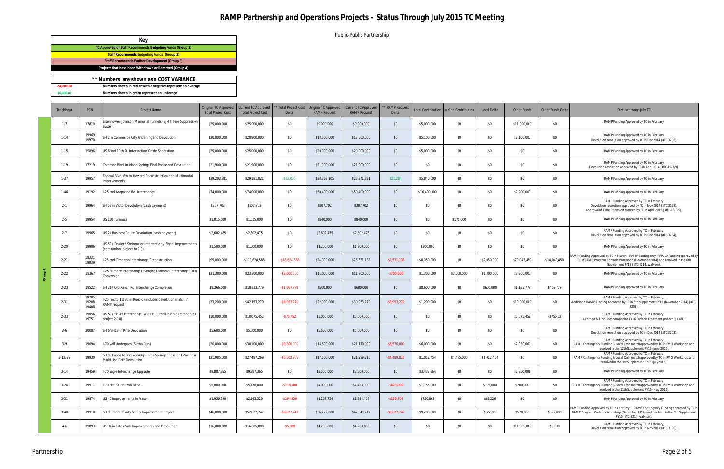Public-Public Partnership

|              | Key                                                          |
|--------------|--------------------------------------------------------------|
|              | TC Approved or Staff Recommends Budgeting Funds (Group 1)    |
|              | <b>Staff Recommends Budgeting Funds (Group 2)</b>            |
|              | Staff Recommends Further Development (Group 3)               |
|              | Projects that have been Withdrawn or Removed (Group 4)       |
|              |                                                              |
|              | ** Numbers are shown as a COST VARIANCE                      |
| $-$4.800.00$ | Numbers shown in red or with a negative represent an overage |
| \$6,000.00   | Numbers shown in green represent an underage                 |

| Tracking # | PCN                     | Project Name                                                                                 | Original TC Approved<br><b>Total Project Cost</b> | <b>Current TC Approved</b><br><b>Total Project Cost</b> | * Total Project Cost<br>Delta | Original TC Approved<br><b>RAMP Request</b> | <b>Current TC Approved</b><br><b>RAMP</b> Request | ** RAMP Request<br>Delta |              | Local Contribution In Kind Contribution | Local Delta   | Other Funds  | Other Funds Delta | Status through July TC                                                                                                                                                                                     |
|------------|-------------------------|----------------------------------------------------------------------------------------------|---------------------------------------------------|---------------------------------------------------------|-------------------------------|---------------------------------------------|---------------------------------------------------|--------------------------|--------------|-----------------------------------------|---------------|--------------|-------------------|------------------------------------------------------------------------------------------------------------------------------------------------------------------------------------------------------------|
| $1 - 7$    | 17810                   | isenhower-Johnson Memorial Tunnels (EJMT) Fire Suppression<br>iystem                         | \$25,000,000                                      | \$25,000,000                                            | \$0                           | \$9,000,000                                 | \$9,000,000                                       | \$0                      | \$5,000,000  | \$0                                     | \$0           | \$11,000,000 | \$0               | RAMP Funding Approved by TC in February                                                                                                                                                                    |
| $1 - 14$   | 19969<br>19970          | SH 2 in Commerce City Widening and Devolution                                                | \$20,800,000                                      | \$20,800,000                                            | \$0                           | \$13,600,000                                | \$13,600,000                                      | \$0                      | \$5,100,000  | \$0                                     | \$0           | \$2,100,000  | \$0               | RAMP Funding Approved by TC in February<br>Devolution resolution approved by TC in Dec 2014 (#TC-3206).                                                                                                    |
| $1 - 15$   | 19896                   | US 6 and 19th St. Intersection Grade Separation                                              | \$25,000,000                                      | \$25,000,000                                            | \$0                           | \$20,000,000                                | \$20,000,000                                      | \$0                      | \$5,000,000  | \$0                                     | \$0           | \$0          | \$0               | RAMP Funding Approved by TC in February                                                                                                                                                                    |
| $1-19$     | 17219                   | Colorado Blvd. in Idaho Springs Final Phase and Devolution                                   | \$21,900,000                                      | \$21,900,000                                            | \$0                           | \$21,900,000                                | \$21,900,000                                      | \$0                      | \$0          | \$0                                     | \$0           | \$0          | \$0               | RAMP Funding Approved by TC in February<br>Devolution resolution approved by TC in April 2014 (#TC-15-3-9).                                                                                                |
| $1 - 37$   | 19957                   | ederal Blvd: 6th to Howard Reconstruction and Multimodal<br>nprovements                      | \$29,203,881                                      | \$29,181,821                                            | \$22,060                      | \$23,363,105                                | \$23,341,821                                      | \$21,284                 | \$5,840,000  | \$0                                     | \$0           | \$0          | \$0               | RAMP Funding Approved by TC in February                                                                                                                                                                    |
| $1 - 46$   | 19192                   | -25 and Arapahoe Rd. Interchange                                                             | \$74,000,000                                      | \$74,000,000                                            | \$0                           | \$50,400,000                                | \$50,400,000                                      | \$0                      | \$16,400,000 | \$0                                     | \$0           | \$7,200,000  | \$0               | RAMP Funding Approved by TC in February                                                                                                                                                                    |
| $2 - 1$    | 19964                   | SH 67 in Victor Devolution (cash payment)                                                    | \$307,702                                         | \$307,702                                               | \$0                           | \$307,702                                   | \$307,702                                         | \$0                      | \$0          | \$0                                     | \$0           | \$0          | \$0               | RAMP Funding Approved by TC in February;<br>Devolution resolution approved by TC in Nov 2014 (#TC-3198);<br>Approval of Time Extension granted by TC in April 2015 (#TC-15-3-5).                           |
| $2 - 5$    | 19954                   | US 160 Turnouts                                                                              | \$1,015,000                                       | \$1,015,000                                             | \$0                           | \$840,000                                   | \$840,000                                         | \$0                      | \$0          | \$175,000                               | \$0           | \$0          | \$0               | RAMP Funding Approved by TC in February                                                                                                                                                                    |
| $2 - 7$    | 19965                   | US 24 Business Route Devolution (cash payment)                                               | \$2,602,475                                       | \$2,602,475                                             | \$0                           | \$2,602,475                                 | \$2,602,475                                       | \$0                      | \$0          | \$0                                     | \$0           | \$0          | \$0               | RAMP Funding Approved by TC in February;<br>Devolution resolution approved by TC in Dec 2014 (#TC-3204).                                                                                                   |
| $2 - 20$   | 19906                   | US 50 / Dozier / Steinmeier Intersection / Signal Improvements<br>companion project to 2-9)  | \$1,500,000                                       | \$1,500,000                                             | \$0                           | \$1,200,000                                 | \$1,200,000                                       | \$0                      | \$300,000    | \$0                                     | \$0           | \$0          | \$0               | RAMP Funding Approved by TC in February                                                                                                                                                                    |
| $2 - 21$   | 18331<br>19039          | -25 and Cimarron Interchange Reconstruction                                                  | \$95,000,000                                      | \$113,624,588                                           | $-$18,624,588$                | \$24,000,000                                | \$26,531,138                                      | $-$ \$2,531,138          | \$8,050,000  | \$0                                     | \$2,050,000   | \$79,043,450 | \$14,043,450      | RAMP Funding Approved by TC in March; RAMP Contingency, RPP, LA Funding approved by<br>TC in RAMP Program Controls Workshop (December 2014) and resolved in the 6th<br>Supplement FY15 (#TC-3214, walk-on) |
| $2 - 22$   | 18367                   | 25 Fillmore Interchange Diverging Diamond Interchange (DDI)<br>Conversion                    | \$21,300,000                                      | \$23,300,000                                            | $-$ \$2,000,000               | \$11,000,000                                | \$11,700,000                                      | $-$700,000$              | \$1,300,000  | \$7,000,000                             | \$1,300,000   | \$3,300,000  | \$0               | RAMP Funding Approved by TC in February                                                                                                                                                                    |
| $2 - 23$   | 19522                   | SH 21 / Old Ranch Rd. Interchange Completion                                                 | \$9,266,000                                       | \$10,333,779                                            | $-$ \$1,067,779               | \$600,000                                   | \$600,000                                         | \$0                      | \$8,600,000  | \$0                                     | \$600,000     | \$1,133,779  | \$467,779         | RAMP Funding Approved by TC in February                                                                                                                                                                    |
| $2 - 31$   | 19205<br>19208<br>19408 | 25 Ilex to 1st St. in Pueblo (includes devolution match in<br>RAMP request)                  | \$33,200,000                                      | \$42,153,270                                            | -\$8,953,270                  | \$22,000,000                                | \$30,953,270                                      | $-$ \$8,953,270          | \$1,200,000  | \$0                                     | \$0           | \$10,000,000 | \$0               | RAMP Funding Approved by TC in February;<br>Additional RAMP Funding Approved by TC in 5th Supplement FY15 (November 2014) (#TC-<br>3208).                                                                  |
| $2 - 33$   | 19056<br>19751          | IS 50 / SH 45 Interchange, Wills to Purcell-Pueblo (companion<br>project 2-10)               | \$10,000,000                                      | \$10,075,452                                            | $-$75,452$                    | \$5,000,000                                 | \$5,000,000                                       | \$0                      | \$0          | \$0                                     | \$0           | \$5,075,452  | $-$75,452$        | RAMP Funding Approved by TC in February;<br>Awarded bid includes companion FY16 Surface Treatment project (\$1.6M).                                                                                        |
| $3-6$      | 20087                   | H 6/SH13 in Rifle Devolution                                                                 | \$5,600,000                                       | \$5,600,000                                             | \$0                           | \$5,600,000                                 | \$5,600,000                                       | \$0                      | \$0          | \$0                                     | \$0           | \$0          | \$0               | RAMP Funding Approved by TC in February;<br>Devolution resolution approved by TC in Dec 2014 (#TC-3203).                                                                                                   |
| $3-9$      | 19094                   | 70 Vail Underpass (Simba Run)                                                                | \$20,800,000                                      | \$30,100,000                                            | \$9,300,000                   | \$14,600,000                                | \$21,170,000                                      | $-$6,570,000$            | \$6,000,000  | \$0                                     | \$0           | \$2,930,000  | \$0               | RAMP Funding Approved by TC in February;<br>RAMP Contingency Funding & Local Cash match approved by TC in PMO Workshop and<br>resolved in the 12th Supplement FY15 (June 2015).                            |
| $3-12/29$  | 19930                   | GH 9 - Frisco to Breckenridge: Iron Springs Phase and Vail Pass<br>Multi-Use Path Devolution | \$21,985,000                                      | \$27,487,269                                            | $-$ \$5,502,269               | \$17,500,000                                | \$21,989,815                                      | $-$ \$4,489,815          | \$1,012,454  | \$4,485,000                             | \$1,012,454   | \$0          | \$0               | RAMP Funding Approved by TC in February;<br>RAMP Contingency Funding & Local Cash match approved by TC in PMO Workshop and<br>resolved in the 1st Supplement FY16 (July2015).                              |
| $3 - 14$   | 19459                   | -70 Eagle Interchange Upgrade                                                                | \$9,887,365                                       | \$9,887,365                                             | \$0                           | \$3,500,000                                 | \$3,500,000                                       | \$0                      | \$3,437,364  | \$0                                     | \$0           | \$2,950,001  | \$0               | RAMP Funding Approved by TC in February                                                                                                                                                                    |
| $3 - 24$   | 19911                   | 70 Exit 31 Horizon Drive                                                                     | \$5,000,000                                       | \$5,778,000                                             | $-$778,000$                   | \$4,000,000                                 | \$4,423,000                                       | $-$ \$423,000            | \$1,155,000  | \$0                                     | \$105,000     | \$200,000    | \$0               | RAMP Funding Approved by TC in February;<br>RAMP Contingency Funding & Local Cash match approved by TC in PMO Workshop and<br>resolved in the 11th Supplement FY15 (May 2015).                             |
| $3 - 31$   | 19874                   | US 40 Improvements in Fraser                                                                 | \$1,950,390                                       | \$2,145,320                                             | $-$194,930$                   | \$1,267,754                                 | \$1,394,458                                       | $-$126,704$              | \$750,862    | \$0                                     | \$68,226      | \$0          | \$0               | RAMP Funding Approved by TC in February                                                                                                                                                                    |
| $3 - 40$   | 19910                   | SH 9 Grand County Safety Improvement Project                                                 | \$46,000,000                                      | \$52,627,747                                            | $-$ \$6,627,747               | \$36,222,000                                | \$42,849,747                                      | $-$ \$6,627,747          | \$9,200,000  | \$0                                     | $-$ \$522,000 | \$578,000    | \$522,000         | RAMP Funding Approved by TC in February; RAMP Contingency Funding approved by TC in<br>RAMP Program Controls Workshop (December 2014) and resolved in the 6th Supplement<br>FY15 (#TC-3214, walk-on).      |
| $4 - 6$    | 19893                   | US 34 in Estes Park Improvements and Devolution                                              | \$16,000,000                                      | \$16,005,000                                            | $-$ \$5,000                   | \$4,200,000                                 | \$4,200,000                                       | \$0                      | \$0          | \$0                                     | \$0           | \$11,805,000 | \$5,000           | RAMP Funding Approved by TC in February;<br>Devolution resolution approved by TC in Nov 2014 (#TC-3199).                                                                                                   |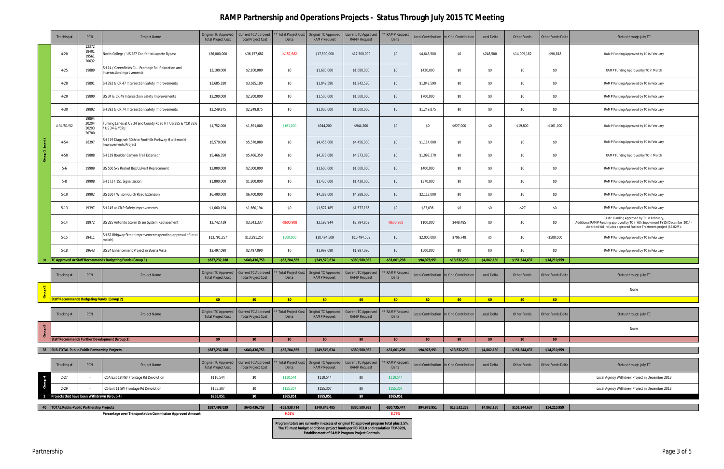|                          | Tracking#                                         | <b>PCN</b>                       | <b>Project Name</b>                                                                | Original TC Approved<br><b>Total Project Cost</b> | Current TC Approved<br><b>Total Project Cost</b>        | <b>Total Project Cost</b><br>Delta | <b>Original TC Approved</b><br><b>RAMP</b> Request | Current TC Approved<br><b>RAMP Request</b>                                             | * RAMP Reques<br>Delta       |              | Local Contribution In Kind Contribution | Local Delta | <b>Other Funds</b> | Other Funds Delta | Status through July TC                                                                                                                                                                           |
|--------------------------|---------------------------------------------------|----------------------------------|------------------------------------------------------------------------------------|---------------------------------------------------|---------------------------------------------------------|------------------------------------|----------------------------------------------------|----------------------------------------------------------------------------------------|------------------------------|--------------|-----------------------------------------|-------------|--------------------|-------------------|--------------------------------------------------------------------------------------------------------------------------------------------------------------------------------------------------|
|                          | $4 - 20$                                          | 12372<br>18401<br>19561<br>20632 | North College / US 287 Conifer to Laporte Bypass                                   | \$36,000,000                                      | \$36,157,682                                            | $-$157,682$                        | \$17,500,000                                       | \$17,500,000                                                                           | \$0                          | \$4,648,500  | \$0                                     | \$248,500   | \$14,009,182       | $-$ \$90,818      | RAMP Funding Approved by TC in February                                                                                                                                                          |
|                          | $4 - 25$                                          | 19889                            | SH 14 / Greenfields Ct. - Frontage Rd. Relocation and<br>Intersection Improvements | \$2,100,000                                       | \$2,100,000                                             | \$0                                | \$1,680,000                                        | \$1,680,000                                                                            | \$0                          | \$420,000    | \$0                                     | \$0         | \$0                | \$0               | RAMP Funding Approved by TC in March                                                                                                                                                             |
|                          | $4 - 28$                                          | 19891                            | SH 392 & CR 47 Intersection Safety Improvements                                    | \$3,685,180                                       | \$3,685,180                                             | \$0                                | \$1,842,590                                        | \$1,842,590                                                                            | \$0                          | \$1,842,590  | \$0                                     | \$0         | \$0                | \$0               | RAMP Funding Approved by TC in February                                                                                                                                                          |
|                          | $4 - 29$                                          | 19890                            | US 34 & CR 49 Intersection Safety Improvements                                     | \$2,200,000                                       | \$2,200,000                                             | \$0                                | \$1,500,000                                        | \$1,500,000                                                                            | \$0                          | \$700,000    | \$0                                     | \$0         | \$0                | \$0               | RAMP Funding Approved by TC in February                                                                                                                                                          |
|                          | $4 - 30$                                          | 19892                            | SH 392 & CR 74 Intersection Safety Improvements                                    | \$2,249,875                                       | \$2,249,875                                             | \$0                                | \$1,000,000                                        | \$1,000,000                                                                            | \$0                          | \$1,249,875  | \$0                                     | \$0         | \$0                | \$0               | RAMP Funding Approved by TC in February                                                                                                                                                          |
|                          | 4-34/51/52                                        | 19894<br>20204<br>20203<br>20700 | Turning Lanes at US 34 and County Road H / US 385 & YCR 33.6<br>US 34 & YCR J      | \$1,752,000                                       | \$1,591,000                                             | \$161,000                          | \$944,200                                          | \$944,200                                                                              | \$0                          | \$0          | \$627,000                               | \$0         | \$19,800           | $-$161,000$       | RAMP Funding Approved by TC in February                                                                                                                                                          |
|                          | $4 - 54$                                          | 18397                            | SH 119 Diagonal: 30th to Foothills Parkway Multi-modal<br>Improvements Project     | \$5,570,000                                       | \$5,570,000                                             | \$0                                | \$4,456,000                                        | \$4,456,000                                                                            | \$0                          | \$1,114,000  | \$0                                     | \$0         | \$0                | \$0               | RAMP Funding Approved by TC in February                                                                                                                                                          |
| ੌ                        | 4-58                                              | 19888                            | SH 119 Boulder Canyon Trail Extension                                              | \$5,466,350                                       | \$5,466,350                                             | \$0                                | \$4,373,080                                        | \$4,373,080                                                                            | \$0                          | \$1,093,270  | \$0                                     | \$0         | \$0                | \$0               | RAMP Funding Approved by TC in March                                                                                                                                                             |
|                          | $5-6$                                             | 19909                            | US 550 Sky Rocket Box Culvert Replacement                                          | \$2,000,000                                       | \$2,000,000                                             | \$0                                | \$1,600,000                                        | \$1,600,000                                                                            | \$0                          | \$400,000    | \$0                                     | \$0         | \$0                | \$0               | RAMP Funding Approved by TC in February                                                                                                                                                          |
|                          | $5-8$                                             | 19908                            | SH 172 / 151 Signalization                                                         | \$1,800,000                                       | \$1,800,000                                             | \$0                                | \$1,430,000                                        | \$1,430,000                                                                            | \$0                          | \$370,000    | \$0                                     | \$0         | \$0                | \$0               | RAMP Funding Approved by TC in February                                                                                                                                                          |
|                          | $5 - 10$                                          | 19902                            | US 160 / Wilson Gulch Road Extension                                               | \$6,400,000                                       | \$6,400,000                                             | \$0                                | \$4,288,000                                        | \$4,288,000                                                                            | \$0                          | \$2,112,000  | \$0                                     | \$0         | \$0                | \$0               | RAMP Funding Approved by TC in February                                                                                                                                                          |
|                          | $5-13$                                            | 19397                            | SH 145 at CR P Safety Improvements                                                 | \$1,660,194                                       | \$1,660,194                                             | \$0                                | \$1,577,185                                        | \$1,577,185                                                                            | \$0                          | \$83,036     | \$0                                     | \$0         | $-$ \$27           | \$0               | RAMP Funding Approved by TC in February                                                                                                                                                          |
|                          | $5-14$                                            | 18972                            | US 285 Antonito Storm Drain System Replacement                                     | \$2,742,429                                       | \$3,343,337                                             | $-$ \$600,908                      | \$2,193,944                                        | \$2,794,852                                                                            | $-$600,908$                  | \$100,000    | \$448,485                               | \$0         | \$0                | \$0               | RAMP Funding Approved by TC in February;<br>Additional RAMP Funding approved by TC in 6th Supplement FY15 (December 2014);<br>Awarded bid includes approved Surface Treatment project (\$7.02M). |
|                          | $5 - 15$                                          | 19411                            | SH 62 Ridgway Street Improvements (pending approval of local<br>match)             | \$13,791,257                                      | \$13,291,257                                            | \$500,000                          | \$10,494,509                                       | \$10,494,509                                                                           | \$0                          | \$2,000,000  | \$796,748                               | \$0         | \$0                | $-$500,000$       | RAMP Funding Approved by TC in February                                                                                                                                                          |
|                          | $5-18$                                            | 19643                            | US 24 Enhancement Project in Buena Vista                                           | \$2,497,090                                       | \$2,497,090                                             | \$0                                | \$1,997,090                                        | \$1,997,090                                                                            | \$0                          | \$500,000    | \$0                                     | \$0         | \$0                | \$0               | RAMP Funding Approved by TC in February                                                                                                                                                          |
| 38                       |                                                   |                                  | TC Approved or Staff Recommends Budgeting Funds (Group 1)                          | \$587,232,188                                     | \$640,436,753                                           | $-$ \$53,204,565                   | \$349,579,634                                      | \$380,580,932                                                                          | $-$ \$31,001,298             | \$94,978,951 | \$13,532,233                            | \$4,862,180 | \$151,344,637      | \$14,210,959      |                                                                                                                                                                                                  |
|                          | Tracking#                                         | <b>PCN</b>                       | Project Name                                                                       | Original TC Approved<br><b>Total Project Cost</b> | <b>Current TC Approved</b><br><b>Total Project Cost</b> | <b>Total Project Cost</b><br>Delta | Original TC Approved<br><b>RAMP</b> Request        | <b>Current TC Approved</b><br><b>RAMP Request</b>                                      | <b>RAMP</b> Request<br>Delta |              | Local Contribution In Kind Contribution | Local Delta | <b>Other Funds</b> | Other Funds Delta | Status through July TC                                                                                                                                                                           |
| $\mathbf{N}$<br>$\Omega$ |                                                   |                                  |                                                                                    |                                                   |                                                         |                                    |                                                    |                                                                                        |                              |              |                                         |             |                    |                   | None                                                                                                                                                                                             |
| ੱ                        | <b>Staff Recommends Budgeting Funds (Group 2)</b> |                                  |                                                                                    | \$0                                               | \$0                                                     | \$0                                | \$0                                                | \$0                                                                                    | \$0                          | \$0          | \$0                                     | \$0         | \$0                | \$0               |                                                                                                                                                                                                  |
|                          | Tracking #                                        | <b>PCN</b>                       | Project Name                                                                       | Original TC Approved<br><b>Total Project Cost</b> | <b>Current TC Approved</b><br><b>Total Project Cost</b> | Total Project Cost<br>Delta        | Original TC Approved<br><b>RAMP Request</b>        | <b>Current TC Approved</b><br><b>RAMP Request</b>                                      | * RAMP Request<br>Delta      |              | Local Contribution In Kind Contribution | Local Delta | Other Funds        | Other Funds Delta | Status through July TC                                                                                                                                                                           |
| Group 3                  |                                                   |                                  |                                                                                    |                                                   |                                                         |                                    |                                                    |                                                                                        |                              |              |                                         |             |                    |                   | None                                                                                                                                                                                             |
|                          |                                                   |                                  | Staff Recommends Further Development (Group 3)                                     | \$0                                               | \$0                                                     | \$0                                | \$0                                                | \$0                                                                                    | \$0                          | \$0          | \$0                                     | \$0         | \$0                | \$0               |                                                                                                                                                                                                  |
|                          | 38 SUB-TOTAL Public-Public Partnership Projects   |                                  |                                                                                    | \$587,232,188                                     | \$640,436,753                                           | $-$ \$53,204,565                   | \$349,579,634                                      | \$380,580,932                                                                          | $-$ \$31,001,298             | \$94,978,951 | \$13,532,233                            | \$4,862,180 | \$151,344,637      | \$14,210,959      |                                                                                                                                                                                                  |
|                          | Tracking #                                        | <b>PCN</b>                       | Project Name                                                                       | Original TC Approved<br><b>Total Project Cost</b> | <b>Current TC Approved</b><br><b>Total Project Cost</b> | <b>Total Project Cost</b><br>Delta | Original TC Approved<br><b>RAMP Request</b>        | <b>Current TC Approved</b><br><b>RAMP Request</b>                                      | <b>RAMP</b> Request<br>Delta |              | Local Contribution In Kind Contribution | Local Delta | Other Funds        | Other Funds Delta | Status through July TC                                                                                                                                                                           |
| Group 4                  | $2 - 27$                                          |                                  | I-25A Exit 18 NW Frontage Rd Devolution                                            | \$110,544                                         | \$0                                                     | \$110,544                          | \$110,544                                          | \$0                                                                                    | \$110,544                    |              |                                         |             |                    |                   | Local Agency Withdrew Project in December 2013                                                                                                                                                   |
|                          | $2 - 29$                                          |                                  | I-25 Exit 11 SW Frontage Rd Devolution                                             | \$155,307                                         | \$0                                                     | \$155,307                          | \$155,307                                          | \$0                                                                                    | \$155,307                    |              |                                         |             |                    |                   | Local Agency Withdrew Project in December 2013                                                                                                                                                   |
|                          | Projects that have been Withdrawn (Group 4)       |                                  |                                                                                    | \$265,851                                         | \$0                                                     | \$265,851                          | \$265,851                                          | \$0                                                                                    | \$265,851                    |              |                                         |             |                    |                   |                                                                                                                                                                                                  |
|                          | 40 TOTAL Public-Public Partnership Projects       |                                  |                                                                                    | \$587,498,039                                     | \$640,436,753                                           | $-$ \$52,938,714                   | \$349,845,485                                      | \$380,580,932                                                                          | $-$ \$30,735,447             | \$94,978,951 | \$13,532,233                            | \$4,862,180 | \$151,344,637      | \$14,210,959      |                                                                                                                                                                                                  |
|                          |                                                   |                                  | Percentage over Transportation Commission Approved Amount                          |                                                   |                                                         | 9.01%                              |                                                    |                                                                                        | 8.79%                        |              |                                         |             |                    |                   |                                                                                                                                                                                                  |
|                          |                                                   |                                  |                                                                                    |                                                   |                                                         |                                    |                                                    | Program totals are currently in excess of original TC approved program total plus 3.5% |                              |              |                                         |             |                    |                   |                                                                                                                                                                                                  |

**The TC must budget additional project funds per PD 703.0 and resolution TC#-3209, Establishment of RAMP Program Project Controls.**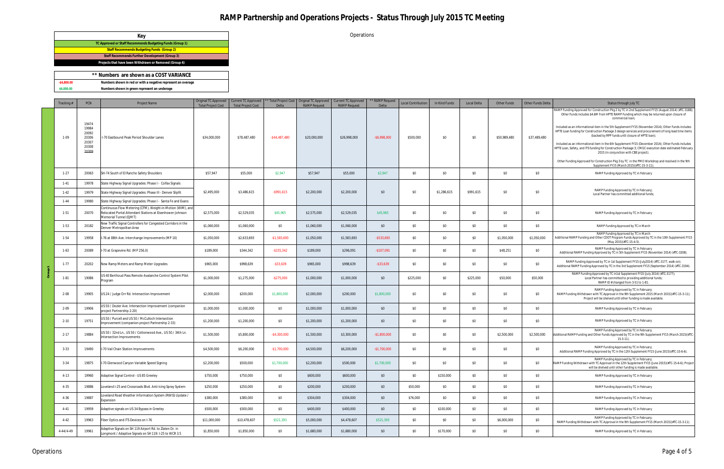Operations

|                | ** Numbers are shown as a COST VARIANCE                      |  |
|----------------|--------------------------------------------------------------|--|
| $-$ \$4.800.00 | Numbers shown in red or with a negative represent an overage |  |
| \$6,000,00     | Numbers shown in green represent an underage                 |  |

| Tracking #                     | PCN                                                         | Project Name                                                                                                                                                                        | Original TC Approved<br><b>Total Project Cost</b> | Current TC Approved   *<br><b>Total Project Cost</b> | Delta          | ** Total Project Cost   Original TC Approved  <br><b>RAMP</b> Request | Current TC Approved<br><b>RAMP Request</b> | ** RAMP Request<br>Delta | <b>Local Contribution</b> | In Kind Funds | Local Delta | <b>Other Funds</b> | Other Funds Delta | Status through July TC                                                                                                                                                                                                                                                                                                                                                                                                                                                                                                                                                                                                                                                                                                                                                                                                                                                                              |
|--------------------------------|-------------------------------------------------------------|-------------------------------------------------------------------------------------------------------------------------------------------------------------------------------------|---------------------------------------------------|------------------------------------------------------|----------------|-----------------------------------------------------------------------|--------------------------------------------|--------------------------|---------------------------|---------------|-------------|--------------------|-------------------|-----------------------------------------------------------------------------------------------------------------------------------------------------------------------------------------------------------------------------------------------------------------------------------------------------------------------------------------------------------------------------------------------------------------------------------------------------------------------------------------------------------------------------------------------------------------------------------------------------------------------------------------------------------------------------------------------------------------------------------------------------------------------------------------------------------------------------------------------------------------------------------------------------|
| $1 - 09$                       | 19474<br>19984<br>20092<br>20306<br>20307<br>20308<br>20309 | -70 Eastbound Peak Period Shoulder Lanes                                                                                                                                            | \$34,000,000                                      | \$78,487,480                                         | $-$44,487,480$ | \$20,000,000                                                          | \$26,998,000                               | $-$6,998,000$            | \$500,000                 | \$0           | \$0         | \$50,989,480       | \$37,489,480      | ;(RAMP Funding Approved for Construction Pkg 2 by TC in 2nd Supplement FY15 (August 2014) (#TC-3188)<br>Other Funds includes \$4.6M from HPTE RAMP Funding which may be returned upon closure of<br>commercial loan;<br>Included as an informational item in the 5th Supplement FY15 (November 2014); Other Funds includes<br>HPTE Loan funding for Construction Package 3 design services and procurement of long lead time items<br>(backed by RPP funds until closure of HPTE loan);<br>Included as an informational item in the 6th Supplement FY15 (December 2014); Other Funds includes<br>HPTE Loan, Safety, and ITS funding for Construction Package 3; CMGC execution date estimated February<br>2015 (in conjunction with CBE project).<br>Other Funding Approved for Construction Pkg 3 by TC in the PMO Workshop and resolved in the 9th<br>Supplement FY15 (March 2015) (#TC-15-3-11); |
| $1-27$                         | 20063                                                       | SH-74 South of El Rancho Safety Shoulders                                                                                                                                           | \$57,947                                          | \$55,000                                             | \$2,947        | \$57,947                                                              | \$55,000                                   | \$2,947                  | \$0                       | \$0           | \$0         | \$0                | \$0               | RAMP Funding Approved by TC in February                                                                                                                                                                                                                                                                                                                                                                                                                                                                                                                                                                                                                                                                                                                                                                                                                                                             |
| $1 - 41$<br>$1-42$<br>$1 - 44$ | 19978<br>19979<br>19980                                     | State Highway Signal Upgrades: Phase I - Colfax Signals<br>State Highway Signal Upgrades: Phase III - Denver Slipfit<br>State Highway Signal Upgrades: Phase I - Santa Fe and Evans | \$2,495,000                                       | \$3,486,615                                          | -\$991,615     | \$2,200,000                                                           | \$2,200,000                                | \$0                      | \$0                       | \$1,286,615   | \$991,615   | \$0                | \$0               | RAMP Funding Approved by TC in February;<br>Local Partner has committed additional funds;                                                                                                                                                                                                                                                                                                                                                                                                                                                                                                                                                                                                                                                                                                                                                                                                           |
| $1-51$                         | 20070                                                       | Continuous Flow Metering (CFM), Weight-in-Motion (WIM), and<br>Relocated Portal Attendant Stations at Eisenhower-Johnson<br>Memorial Tunnel (EJMT)                                  | \$2,575,000                                       | \$2,529,035                                          | \$45,965       | \$2,575,000                                                           | \$2,529,035                                | \$45,965                 | \$0                       | \$0           | \$0         | \$0                | \$0               | RAMP Funding Approved by TC in February                                                                                                                                                                                                                                                                                                                                                                                                                                                                                                                                                                                                                                                                                                                                                                                                                                                             |
| $1-53$                         | 20182                                                       | New Traffic Signal Controllers for Congested Corridors in the<br>Denver Metropolitan Area                                                                                           | \$1,060,000                                       | \$1,060,000                                          | \$0            | \$1,060,000                                                           | \$1,060,000                                | \$0                      | \$0                       | \$0           | \$0         | \$0                | \$0               | RAMP Funding Approved by TC in March                                                                                                                                                                                                                                                                                                                                                                                                                                                                                                                                                                                                                                                                                                                                                                                                                                                                |
| $1-54$                         | 19958                                                       | I-76 at 88th Ave. Interchange Improvements (MP 10)                                                                                                                                  | \$1,050,000                                       | \$2,633,693                                          | $-$1,583,693$  | \$1,050,000                                                           | \$1,583,693                                | $-$ \$533,693            | \$0                       | \$0           | \$0         | \$1,050,000        | \$1,050,000       | RAMP Funding Approved by TC in March<br>Additional RAMP Funding and Other CDOT Program Funds Approved by TC in the 10th Supplement FY15<br>(May 2015)(#TC-15-4-5).                                                                                                                                                                                                                                                                                                                                                                                                                                                                                                                                                                                                                                                                                                                                  |
| $1-63$                         | 20089                                                       | -70 at Grapevine Rd. (MP 256.0)                                                                                                                                                     | \$189,000                                         | \$344,342                                            | $-$ \$155,342  | \$189,000                                                             | \$296,091                                  | $-$107,091$              | \$0                       | \$0           | \$0         | \$48,251           | \$0               | RAMP Funding Approved by TC in February<br>Additional RAMP Funding Approved by TC in 5th Supplement FY15 (November 2014) (#TC-3208).                                                                                                                                                                                                                                                                                                                                                                                                                                                                                                                                                                                                                                                                                                                                                                |
| $1-77$                         | 20202                                                       | New Ramp Meters and Ramp Meter Upgrades                                                                                                                                             | \$965,000                                         | \$998,639                                            | $-$ \$33,639   | \$965,000                                                             | \$998,639                                  | $-$ \$33,639             | \$0                       | \$0           | \$0         | \$0                | \$0               | RAMP Funding Approved by TC in 1st Supplement FY15 (July2014) (#TC-3177, walk-on);<br>Additional RAMP Funding Approved by TC in the 3rd Supplement FY15 (September 2014) (#TC-3194).                                                                                                                                                                                                                                                                                                                                                                                                                                                                                                                                                                                                                                                                                                                |
| $1 - 81$                       | 19086                                                       | US 40 Berthoud Pass Remote Avalanche Control System Pilot<br>Program                                                                                                                | \$1,000,000                                       | \$1,275,000                                          | $-$ \$275,000  | \$1,000,000                                                           | \$1,000,000                                | \$0                      | \$225,000                 | \$0           | \$225,000   | \$50,000           | \$50,000          | RAMP Funding Approved by TC in1st Supplement FY15 (July 2014) (#TC-3177);<br>Local Partner has committed to providing additional funds;<br>RAMP ID # changed from 3-51 to 1-81.                                                                                                                                                                                                                                                                                                                                                                                                                                                                                                                                                                                                                                                                                                                     |
| $2 - 08$                       | 19905                                                       | US 24 / Judge Orr Rd. Intersection Improvement                                                                                                                                      | \$2,000,000                                       | \$200,000                                            | \$1,800,000    | \$2,000,000                                                           | \$200,000                                  | \$1,800,000              | \$0                       | \$0           | \$0         | \$0                | \$0               | RAMP Funding Approved by TC in February;<br>RAMP Funding Withdrawn with TC Approval in the 9th Supplement 2015 (March 2015)(#TC-15-3-11);<br>Project will be shelved until other funding is made available.                                                                                                                                                                                                                                                                                                                                                                                                                                                                                                                                                                                                                                                                                         |
| $2 - 09$                       | 19906                                                       | US 50 / Dozier Ave. Intersection Improvement (companion<br>project Partnership 2-20)                                                                                                | \$1,000,000                                       | \$1,000,000                                          | \$0            | \$1,000,000                                                           | \$1,000,000                                | \$0                      | \$0                       | \$0           | \$0         | \$0                | \$0               | RAMP Funding Approved by TC in February                                                                                                                                                                                                                                                                                                                                                                                                                                                                                                                                                                                                                                                                                                                                                                                                                                                             |
| $2 - 10$                       | 19751                                                       | US 50 / Purcell and US 50 / McCulloch Intersection<br>mprovement (companion project Partnership 2-33)                                                                               | \$1,200,000                                       | \$1,200,000                                          | \$0            | \$1,200,000                                                           | \$1,200,000                                | \$0                      | \$0                       | \$0           | \$0         | \$0                | \$0               | RAMP Funding Approved by TC in February                                                                                                                                                                                                                                                                                                                                                                                                                                                                                                                                                                                                                                                                                                                                                                                                                                                             |
| $2 - 17$                       | 19884                                                       | US 50 / 32nd Ln., US 50 / Cottonwood Ave., US 50 / 34th Ln.<br>Intersection Improvements                                                                                            | \$1,500,000                                       | \$5,800,000                                          | $-$4,300,000$  | \$1,500,000                                                           | \$3,300,000                                | $-$1,800,000$            | \$0                       | \$0           | \$0         | \$2,500,000        | \$2,500,000       | RAMP Funding Approved by TC in February;<br>Additional RAMP Funding and Other Funds Approved by TC in the 9th Supplement FY15 (March 2015)(#TC-<br>$15-3-11$ ).                                                                                                                                                                                                                                                                                                                                                                                                                                                                                                                                                                                                                                                                                                                                     |
| $3 - 33$                       | 19490                                                       | -70 Vail Chain Station Improvements                                                                                                                                                 | \$4,500,000                                       | \$6,200,000                                          | $-$1,700,000$  | \$4,500,000                                                           | \$6,200,000                                | $-$1,700,000$            | \$0                       | \$0           | \$0         | \$0                | \$0               | RAMP Funding Approved by TC in February;<br>Additional RAMP Funding Approved by TC in the 12th Supplement FY15 (June 2015) (#TC-15-6-6).                                                                                                                                                                                                                                                                                                                                                                                                                                                                                                                                                                                                                                                                                                                                                            |
| $3 - 34$                       | 19875                                                       | I-70 Glenwood Canvon Variable Speed Signing                                                                                                                                         | \$2,200,000                                       | \$500,000                                            | \$1,700,000    | \$2,200,000                                                           | \$500,000                                  | \$1,700,000              | \$0                       | \$0           | \$0         | \$0                | \$0               | RAMP Funding Approved by TC in February;<br>RAMP Funding Withdrawn with TC Approval in the 12th Supplement FY15 (June 2015)(#TC-15-6-6); Project<br>will be shelved until other funding is made available.                                                                                                                                                                                                                                                                                                                                                                                                                                                                                                                                                                                                                                                                                          |
| $4 - 13$                       | 19960                                                       | Adaptive Signal Control - US 85 Greeley                                                                                                                                             | \$750,000                                         | \$750,000                                            | \$0            | \$600,000                                                             | \$600,000                                  | \$0                      | \$0                       | \$150,000     | \$0         | \$0                | \$0               | RAMP Funding Approved by TC in February                                                                                                                                                                                                                                                                                                                                                                                                                                                                                                                                                                                                                                                                                                                                                                                                                                                             |
| $4 - 35$                       | 19886                                                       | oveland I-25 and Crossroads Blvd. Anti-Icing Spray System                                                                                                                           | \$250,000                                         | \$250,000                                            | \$0            | \$200,000                                                             | \$200,000                                  | \$0                      | \$50,000                  | \$0           | \$0         | \$0                | \$0               | RAMP Funding Approved by TC in February                                                                                                                                                                                                                                                                                                                                                                                                                                                                                                                                                                                                                                                                                                                                                                                                                                                             |
| $4 - 36$                       | 19887                                                       | oveland Road Weather Information System (RWIS) Update /<br>Expansion                                                                                                                | \$380,000                                         | \$380,000                                            | \$0            | \$304,000                                                             | \$304,000                                  | \$0                      | \$76,000                  | \$0           | \$0         | \$0                | \$0               | RAMP Funding Approved by TC in February                                                                                                                                                                                                                                                                                                                                                                                                                                                                                                                                                                                                                                                                                                                                                                                                                                                             |
| $4 - 41$                       | 19959                                                       | Adaptive signals on US 34 Bypass in Greeley                                                                                                                                         | \$500,000                                         | \$500,000                                            | \$0            | \$400,000                                                             | \$400,000                                  | \$0                      | \$0                       | \$100,000     | \$0         | \$0                | \$0               | RAMP Funding Approved by TC in February                                                                                                                                                                                                                                                                                                                                                                                                                                                                                                                                                                                                                                                                                                                                                                                                                                                             |
| $4 - 42$                       | 19963                                                       | Fiber Optics and ITS Devices on I-76                                                                                                                                                | \$11,000,000                                      | \$10,478,607                                         | \$521,393      | \$5,000,000                                                           | \$4,478,607                                | \$521,393                | \$0                       | \$0           | \$0         | \$6,000,000        | \$0               | RAMP Funding Approved by TC in February;<br>RAMP Funding Withdrawn with TC Approval in the 9th Supplement FY15 (March 2015)(#TC-15-3-11).                                                                                                                                                                                                                                                                                                                                                                                                                                                                                                                                                                                                                                                                                                                                                           |
| 4-44/4-49                      | 19961                                                       | Adaptive Signals on SH 119 Airport Rd. to Zlaten Dr. in<br>Longmont / Adaptive Signals on SH 119: I-25 to WCR 3.5                                                                   | \$1,850,000                                       | \$1,850,000                                          | \$0            | \$1,680,000                                                           | \$1,680,000                                | \$0                      | \$0                       | \$170,000     | \$0         | \$0                | \$0               | RAMP Funding Approved by TC in February                                                                                                                                                                                                                                                                                                                                                                                                                                                                                                                                                                                                                                                                                                                                                                                                                                                             |